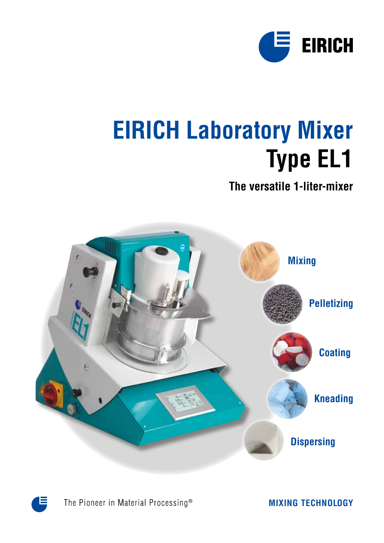

# **EIRICH Laboratory Mixer Type EL1**

### **The versatile 1-liter-mixer**





The Pioneer in Material Processing®

**MIXING TECHNOLOGY**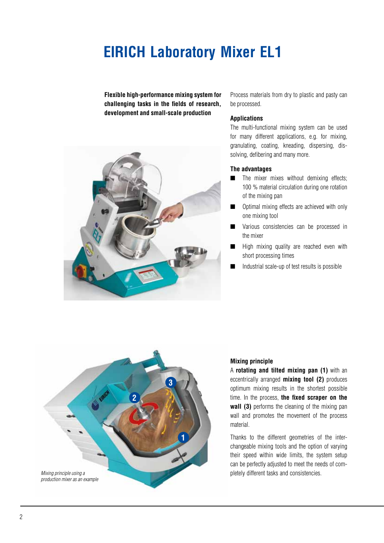# **EIRICH Laboratory Mixer EL1**

**Flexible high-performance mixing system for challenging tasks in the fields of research, development and small-scale production**



Process materials from dry to plastic and pasty can be processed.

#### **Applications**

The multi-functional mixing system can be used for many different applications, e.g. for mixing, granulating, coating, kneading, dispersing, dissolving, defibering and many more.

#### **The advantages**

- $\blacksquare$  The mixer mixes without demixing effects; 100 % material circulation during one rotation of the mixing pan
- **n** Optimal mixing effects are achieved with only one mixing tool
- **N** Various consistencies can be processed in the mixer
- High mixing quality are reached even with short processing times
- $\blacksquare$  Industrial scale-up of test results is possible



#### **Mixing principle**

A **rotating and tilted mixing pan (1)** with an eccentrically arranged **mixing tool (2)** produces optimum mixing results in the shortest possible time. In the process, **the fixed scraper on the wall (3)** performs the cleaning of the mixing pan wall and promotes the movement of the process material.

Thanks to the different geometries of the interchangeable mixing tools and the option of varying their speed within wide limits, the system setup can be perfectly adjusted to meet the needs of completely different tasks and consistencies.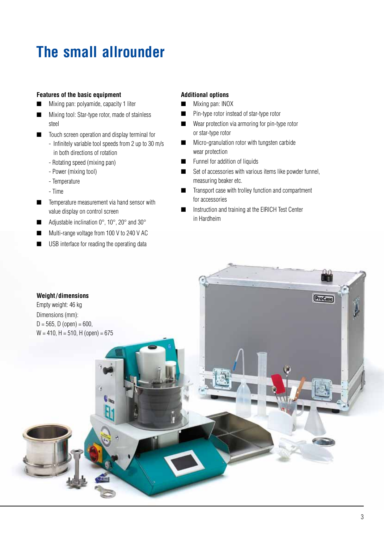# **The small allrounder**

#### **Features of the basic equipment**

- Mixing pan: polyamide, capacity 1 liter
- Mixing tool: Star-type rotor, made of stainless steel
- $\blacksquare$  Touch screen operation and display terminal for
	- Infinitely variable tool speeds from 2 up to 30 m/s in both directions of rotation
	- Rotating speed (mixing pan)
	- Power (mixing tool)
	- Temperature
	- Time
- $\blacksquare$  Temperature measurement via hand sensor with value display on control screen
- Adjustable inclination  $0^\circ$ ,  $10^\circ$ ,  $20^\circ$  and  $30^\circ$
- Multi-range voltage from 100 V to 240 V AC
- $\blacksquare$  USB interface for reading the operating data

#### **Additional options**

- **n** Mixing pan: INOX
- $\blacksquare$  Pin-type rotor instead of star-type rotor
- $\blacksquare$  Wear protection via armoring for pin-type rotor or star-type rotor
- $\blacksquare$  Micro-granulation rotor with tungsten carbide wear protection
- **n** Funnel for addition of liquids
- $\blacksquare$  Set of accessories with various items like powder funnel, measuring beaker etc.
- Transport case with trolley function and compartment for accessories
- Instruction and training at the EIRICH Test Center in Hardheim